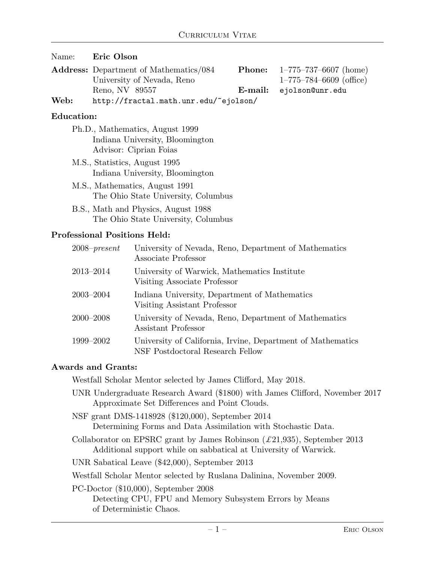| Name:      | Eric Olson                                    |         |                                       |
|------------|-----------------------------------------------|---------|---------------------------------------|
|            | <b>Address:</b> Department of Mathematics/084 |         | <b>Phone:</b> $1-775-737-6607$ (home) |
|            | University of Nevada, Reno                    |         | $1-775-784-6609$ (office)             |
|            | Reno, NV 89557                                | E-mail: | ejolson@unr.edu                       |
| Web:       | http://fractal.math.unr.edu/~ejolson/         |         |                                       |
| Education: |                                               |         |                                       |

- Ph.D., Mathematics, August 1999 Indiana University, Bloomington Advisor: Ciprian Foias
- M.S., Statistics, August 1995 Indiana University, Bloomington
- M.S., Mathematics, August 1991 The Ohio State University, Columbus
- B.S., Math and Physics, August 1988 The Ohio State University, Columbus

# Professional Positions Held:

| 2008–present  | University of Nevada, Reno, Department of Mathematics<br>Associate Professor                    |
|---------------|-------------------------------------------------------------------------------------------------|
| $2013 - 2014$ | University of Warwick, Mathematics Institute<br>Visiting Associate Professor                    |
| $2003 - 2004$ | Indiana University, Department of Mathematics<br>Visiting Assistant Professor                   |
| $2000 - 2008$ | University of Nevada, Reno, Department of Mathematics<br>Assistant Professor                    |
| 1999–2002     | University of California, Irvine, Department of Mathematics<br>NSF Postdoctoral Research Fellow |

# Awards and Grants:

Westfall Scholar Mentor selected by James Clifford, May 2018.

UNR Undergraduate Research Award (\$1800) with James Clifford, November 2017 Approximate Set Differences and Point Clouds.

NSF grant DMS-1418928 (\$120,000), September 2014 Determining Forms and Data Assimilation with Stochastic Data.

Collaborator on EPSRC grant by James Robinson  $(\pounds 21, 935)$ , September 2013 Additional support while on sabbatical at University of Warwick.

UNR Sabatical Leave (\$42,000), September 2013

Westfall Scholar Mentor selected by Ruslana Dalinina, November 2009.

PC-Doctor (\$10,000), September 2008 Detecting CPU, FPU and Memory Subsystem Errors by Means of Deterministic Chaos.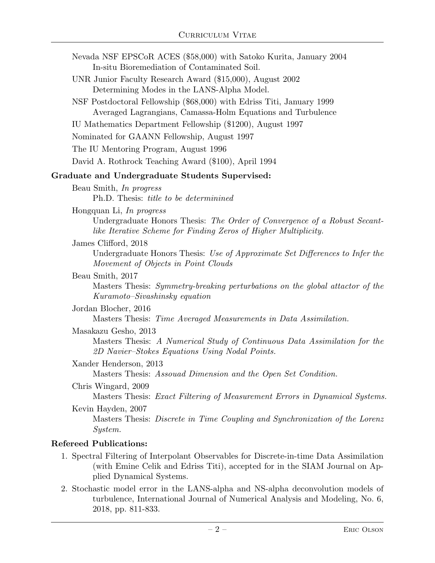| Nevada NSF EPSCoR ACES (\$58,000) with Satoko Kurita, January 2004<br>In-situ Bioremediation of Contaminated Soil.                                                              |
|---------------------------------------------------------------------------------------------------------------------------------------------------------------------------------|
| UNR Junior Faculty Research Award (\$15,000), August 2002<br>Determining Modes in the LANS-Alpha Model.                                                                         |
| NSF Postdoctoral Fellowship (\$68,000) with Edriss Titi, January 1999<br>Averaged Lagrangians, Camassa-Holm Equations and Turbulence                                            |
| IU Mathematics Department Fellowship (\$1200), August 1997                                                                                                                      |
| Nominated for GAANN Fellowship, August 1997                                                                                                                                     |
| The IU Mentoring Program, August 1996                                                                                                                                           |
| David A. Rothrock Teaching Award (\$100), April 1994                                                                                                                            |
| Graduate and Undergraduate Students Supervised:                                                                                                                                 |
| Beau Smith, <i>In progress</i><br>Ph.D. Thesis: <i>title to be determinined</i>                                                                                                 |
| Hongquan Li, <i>In progress</i><br>Undergraduate Honors Thesis: The Order of Convergence of a Robust Secant-<br>like Iterative Scheme for Finding Zeros of Higher Multiplicity. |
| James Clifford, 2018<br>Undergraduate Honors Thesis: Use of Approximate Set Differences to Infer the<br>Movement of Objects in Point Clouds                                     |
| Beau Smith, 2017<br>Masters Thesis: Symmetry-breaking perturbations on the global attactor of the<br>Kuramoto-Sivashinsky equation                                              |
| Jordan Blocher, 2016<br>Masters Thesis: Time Averaged Measurements in Data Assimilation.                                                                                        |
| Masakazu Gesho, 2013<br>Masters Thesis: A Numerical Study of Continuous Data Assimilation for the<br>2D Navier-Stokes Equations Using Nodal Points.                             |
| Xander Henderson, 2013<br>Masters Thesis: Assouad Dimension and the Open Set Condition.                                                                                         |
| Chris Wingard, 2009<br>Masters Thesis: <i>Exact Filtering of Measurement Errors in Dynamical Systems</i> .                                                                      |
| Kevin Hayden, 2007<br>Masters Thesis: Discrete in Time Coupling and Synchronization of the Lorenz<br>System.                                                                    |
| <b>Refereed Publications:</b>                                                                                                                                                   |
| 1. Spectral Filtering of Interpolant Observables for Discrete-in-time Data Assimilation                                                                                         |

- (with Emine Celik and Edriss Titi), accepted for in the SIAM Journal on Applied Dynamical Systems.
- 2. Stochastic model error in the LANS-alpha and NS-alpha deconvolution models of turbulence, International Journal of Numerical Analysis and Modeling, No. 6, 2018, pp. 811-833.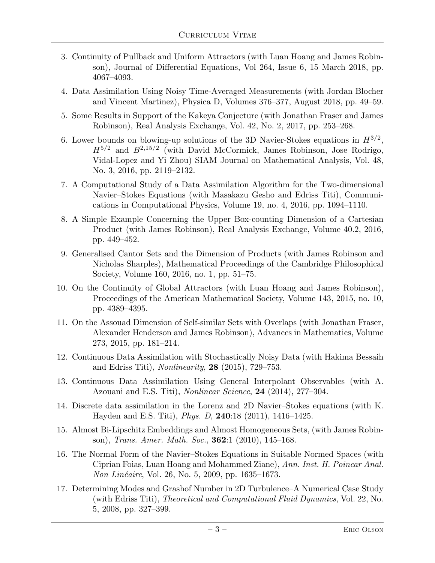- 3. Continuity of Pullback and Uniform Attractors (with Luan Hoang and James Robinson), Journal of Differential Equations, Vol 264, Issue 6, 15 March 2018, pp. 4067–4093.
- 4. Data Assimilation Using Noisy Time-Averaged Measurements (with Jordan Blocher and Vincent Martinez), Physica D, Volumes 376–377, August 2018, pp. 49–59.
- 5. Some Results in Support of the Kakeya Conjecture (with Jonathan Fraser and James Robinson), Real Analysis Exchange, Vol. 42, No. 2, 2017, pp. 253–268.
- 6. Lower bounds on blowing-up solutions of the 3D Navier-Stokes equations in  $H^{3/2}$ ,  $H^{5/2}$  and  $B^{2,15/2}$  (with David McCormick, James Robinson, Jose Rodrigo, Vidal-Lopez and Yi Zhou) SIAM Journal on Mathematical Analysis, Vol. 48, No. 3, 2016, pp. 2119–2132.
- 7. A Computational Study of a Data Assimilation Algorithm for the Two-dimensional Navier–Stokes Equations (with Masakazu Gesho and Edriss Titi), Communications in Computational Physics, Volume 19, no. 4, 2016, pp. 1094–1110.
- 8. A Simple Example Concerning the Upper Box-counting Dimension of a Cartesian Product (with James Robinson), Real Analysis Exchange, Volume 40.2, 2016, pp. 449–452.
- 9. Generalised Cantor Sets and the Dimension of Products (with James Robinson and Nicholas Sharples), Mathematical Proceedings of the Cambridge Philosophical Society, Volume 160, 2016, no. 1, pp. 51–75.
- 10. On the Continuity of Global Attractors (with Luan Hoang and James Robinson), Proceedings of the American Mathematical Society, Volume 143, 2015, no. 10, pp. 4389–4395.
- 11. On the Assouad Dimension of Self-similar Sets with Overlaps (with Jonathan Fraser, Alexander Henderson and James Robinson), Advances in Mathematics, Volume 273, 2015, pp. 181–214.
- 12. Continuous Data Assimilation with Stochastically Noisy Data (with Hakima Bessaih and Edriss Titi), Nonlinearity, 28 (2015), 729–753.
- 13. Continuous Data Assimilation Using General Interpolant Observables (with A. Azouani and E.S. Titi), *Nonlinear Science*, **24** (2014), 277–304.
- 14. Discrete data assimilation in the Lorenz and 2D Navier–Stokes equations (with K. Hayden and E.S. Titi), Phys. D, 240:18 (2011), 1416–1425.
- 15. Almost Bi-Lipschitz Embeddings and Almost Homogeneous Sets, (with James Robinson), *Trans. Amer. Math. Soc.*, **362**:1 (2010), 145–168.
- 16. The Normal Form of the Navier–Stokes Equations in Suitable Normed Spaces (with Ciprian Foias, Luan Hoang and Mohammed Ziane), Ann. Inst. H. Poincar Anal. Non Linéaire, Vol. 26, No. 5, 2009, pp. 1635–1673.
- 17. Determining Modes and Grashof Number in 2D Turbulence–A Numerical Case Study (with Edriss Titi), Theoretical and Computational Fluid Dynamics, Vol. 22, No. 5, 2008, pp. 327–399.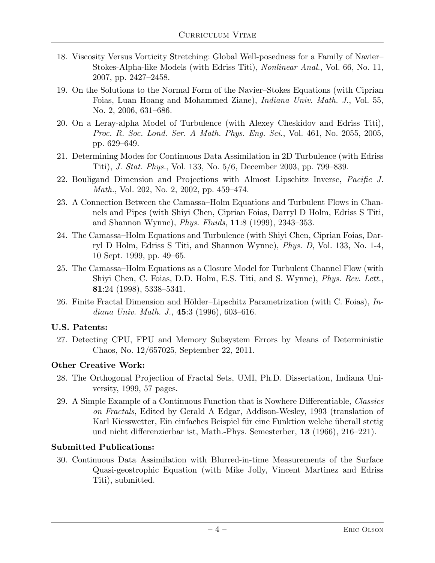- 18. Viscosity Versus Vorticity Stretching: Global Well-posedness for a Family of Navier– Stokes-Alpha-like Models (with Edriss Titi), Nonlinear Anal., Vol. 66, No. 11, 2007, pp. 2427–2458.
- 19. On the Solutions to the Normal Form of the Navier–Stokes Equations (with Ciprian Foias, Luan Hoang and Mohammed Ziane), Indiana Univ. Math. J., Vol. 55, No. 2, 2006, 631–686.
- 20. On a Leray-alpha Model of Turbulence (with Alexey Cheskidov and Edriss Titi), Proc. R. Soc. Lond. Ser. A Math. Phys. Eng. Sci., Vol. 461, No. 2055, 2005, pp. 629–649.
- 21. Determining Modes for Continuous Data Assimilation in 2D Turbulence (with Edriss Titi), J. Stat. Phys., Vol. 133, No. 5/6, December 2003, pp. 799–839.
- 22. Bouligand Dimension and Projections with Almost Lipschitz Inverse, Pacific J. Math., Vol. 202, No. 2, 2002, pp. 459–474.
- 23. A Connection Between the Camassa–Holm Equations and Turbulent Flows in Channels and Pipes (with Shiyi Chen, Ciprian Foias, Darryl D Holm, Edriss S Titi, and Shannon Wynne), Phys. Fluids, 11:8 (1999), 2343–353.
- 24. The Camassa–Holm Equations and Turbulence (with Shiyi Chen, Ciprian Foias, Darryl D Holm, Edriss S Titi, and Shannon Wynne), Phys. D, Vol. 133, No. 1-4, 10 Sept. 1999, pp. 49–65.
- 25. The Camassa–Holm Equations as a Closure Model for Turbulent Channel Flow (with Shiyi Chen, C. Foias, D.D. Holm, E.S. Titi, and S. Wynne), Phys. Rev. Lett., 81:24 (1998), 5338–5341.
- 26. Finite Fractal Dimension and Hölder–Lipschitz Parametrization (with C. Foias),  $In$ diana Univ. Math. J., 45:3 (1996), 603–616.

#### U.S. Patents:

27. Detecting CPU, FPU and Memory Subsystem Errors by Means of Deterministic Chaos, No. 12/657025, September 22, 2011.

### Other Creative Work:

- 28. The Orthogonal Projection of Fractal Sets, UMI, Ph.D. Dissertation, Indiana University, 1999, 57 pages.
- 29. A Simple Example of a Continuous Function that is Nowhere Differentiable, Classics on Fractals, Edited by Gerald A Edgar, Addison-Wesley, 1993 (translation of Karl Kiesswetter, Ein einfaches Beispiel für eine Funktion welche überall stetig und nicht differenzierbar ist, Math.-Phys. Semesterber, 13 (1966), 216–221).

### Submitted Publications:

30. Continuous Data Assimilation with Blurred-in-time Measurements of the Surface Quasi-geostrophic Equation (with Mike Jolly, Vincent Martinez and Edriss Titi), submitted.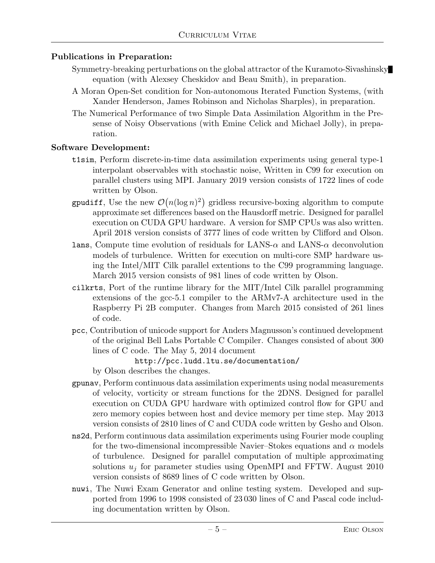## Publications in Preparation:

- Symmetry-breaking perturbations on the global attractor of the Kuramoto-Sivashinsky equation (with Alexsey Cheskidov and Beau Smith), in preparation.
- A Moran Open-Set condition for Non-autonomous Iterated Function Systems, (with Xander Henderson, James Robinson and Nicholas Sharples), in preparation.
- The Numerical Performance of two Simple Data Assimilation Algorithm in the Presense of Noisy Observations (with Emine Celick and Michael Jolly), in preparation.

## Software Development:

- t1sim, Perform discrete-in-time data assimilation experiments using general type-1 interpolant observables with stochastic noise, Written in C99 for execution on parallel clusters using MPI. January 2019 version consists of 1722 lines of code written by Olson.
- gpudiff, Use the new  $\mathcal{O}(n(\log n)^2)$  gridless recursive-boxing algorithm to compute approximate set differences based on the Hausdorff metric. Designed for parallel execution on CUDA GPU hardware. A version for SMP CPUs was also written. April 2018 version consists of 3777 lines of code written by Clifford and Olson.
- **lans**, Compute time evolution of residuals for LANS- $\alpha$  and LANS- $\alpha$  deconvolution models of turbulence. Written for execution on multi-core SMP hardware using the Intel/MIT Cilk parallel extentions to the C99 programming language. March 2015 version consists of 981 lines of code written by Olson.
- cilkrts, Port of the runtime library for the MIT/Intel Cilk parallel programming extensions of the gcc-5.1 compiler to the ARMv7-A architecture used in the Raspberry Pi 2B computer. Changes from March 2015 consisted of 261 lines of code.
- pcc, Contribution of unicode support for Anders Magnusson's continued development of the original Bell Labs Portable C Compiler. Changes consisted of about 300 lines of C code. The May 5, 2014 document

### http://pcc.ludd.ltu.se/documentation/

by Olson describes the changes.

- gpunav, Perform continuous data assimilation experiments using nodal measurements of velocity, vorticity or stream functions for the 2DNS. Designed for parallel execution on CUDA GPU hardware with optimized control flow for GPU and zero memory copies between host and device memory per time step. May 2013 version consists of 2810 lines of C and CUDA code written by Gesho and Olson.
- ns2d, Perform continuous data assimilation experiments using Fourier mode coupling for the two-dimensional incompressible Navier–Stokes equations and  $\alpha$  models of turbulence. Designed for parallel computation of multiple approximating solutions  $u_i$  for parameter studies using OpenMPI and FFTW. August 2010 version consists of 8689 lines of C code written by Olson.
- nuwi, The Nuwi Exam Generator and online testing system. Developed and supported from 1996 to 1998 consisted of 23 030 lines of C and Pascal code including documentation written by Olson.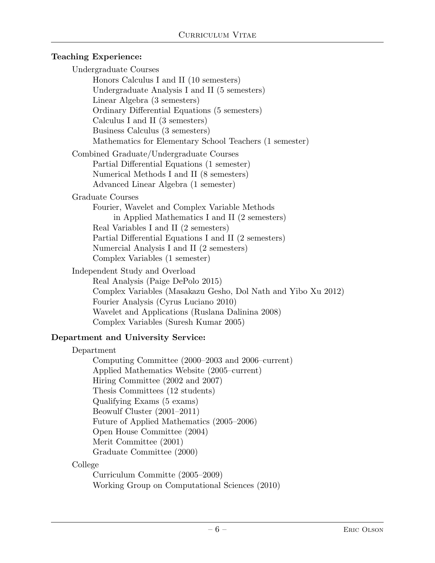### Teaching Experience:

| Undergraduate Courses                                                                                                                                                                                                                                                                                                              |
|------------------------------------------------------------------------------------------------------------------------------------------------------------------------------------------------------------------------------------------------------------------------------------------------------------------------------------|
| Honors Calculus I and II (10 semesters)                                                                                                                                                                                                                                                                                            |
| Undergraduate Analysis I and II (5 semesters)                                                                                                                                                                                                                                                                                      |
| Linear Algebra (3 semesters)                                                                                                                                                                                                                                                                                                       |
| Ordinary Differential Equations (5 semesters)                                                                                                                                                                                                                                                                                      |
| Calculus I and II (3 semesters)                                                                                                                                                                                                                                                                                                    |
| Business Calculus (3 semesters)                                                                                                                                                                                                                                                                                                    |
| Mathematics for Elementary School Teachers (1 semester)                                                                                                                                                                                                                                                                            |
| Combined Graduate/Undergraduate Courses                                                                                                                                                                                                                                                                                            |
| Partial Differential Equations (1 semester)                                                                                                                                                                                                                                                                                        |
| Numerical Methods I and II (8 semesters)                                                                                                                                                                                                                                                                                           |
| Advanced Linear Algebra (1 semester)                                                                                                                                                                                                                                                                                               |
| Graduate Courses                                                                                                                                                                                                                                                                                                                   |
| Fourier, Wavelet and Complex Variable Methods                                                                                                                                                                                                                                                                                      |
| in Applied Mathematics I and II (2 semesters)                                                                                                                                                                                                                                                                                      |
| Real Variables I and II (2 semesters)                                                                                                                                                                                                                                                                                              |
| Partial Differential Equations I and II (2 semesters)                                                                                                                                                                                                                                                                              |
| Numercial Analysis I and II (2 semesters)                                                                                                                                                                                                                                                                                          |
| Complex Variables (1 semester)                                                                                                                                                                                                                                                                                                     |
| Independent Study and Overload                                                                                                                                                                                                                                                                                                     |
| Real Analysis (Paige DePolo 2015)                                                                                                                                                                                                                                                                                                  |
| Complex Variables (Masakazu Gesho, Dol Nath and Yibo Xu 2012)                                                                                                                                                                                                                                                                      |
| Fourier Analysis (Cyrus Luciano 2010)                                                                                                                                                                                                                                                                                              |
| Wavelet and Applications (Ruslana Dalinina 2008)                                                                                                                                                                                                                                                                                   |
| Complex Variables (Suresh Kumar 2005)                                                                                                                                                                                                                                                                                              |
| $\mathbf{1}$ $\mathbf{1}$ $\mathbf{1}$ $\mathbf{1}$ $\mathbf{1}$ $\mathbf{1}$ $\mathbf{1}$ $\mathbf{1}$ $\mathbf{1}$ $\mathbf{1}$ $\mathbf{1}$ $\mathbf{1}$ $\mathbf{1}$ $\mathbf{1}$ $\mathbf{1}$ $\mathbf{1}$ $\mathbf{1}$ $\mathbf{1}$ $\mathbf{1}$ $\mathbf{1}$ $\mathbf{1}$ $\mathbf{1}$ $\mathbf{1}$ $\mathbf{1}$ $\mathbf{$ |

### Department and University Service:

| Department |
|------------|
| Compu      |

Computing Committee (2000–2003 and 2006–current) Applied Mathematics Website (2005–current) Hiring Committee (2002 and 2007) Thesis Committees (12 students) Qualifying Exams (5 exams) Beowulf Cluster (2001–2011) Future of Applied Mathematics (2005–2006) Open House Committee (2004) Merit Committee (2001) Graduate Committee (2000)

#### College

Curriculum Committe (2005–2009) Working Group on Computational Sciences (2010)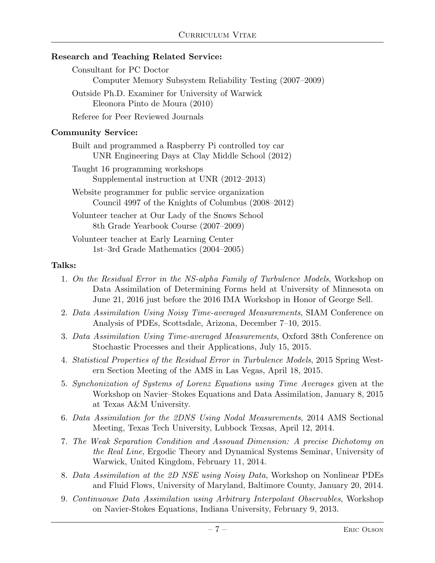### Research and Teaching Related Service:

Consultant for PC Doctor Computer Memory Subsystem Reliability Testing (2007–2009) Outside Ph.D. Examiner for University of Warwick Eleonora Pinto de Moura (2010)

Referee for Peer Reviewed Journals

### Community Service:

Built and programmed a Raspberry Pi controlled toy car UNR Engineering Days at Clay Middle School (2012)

Taught 16 programming workshops Supplemental instruction at UNR (2012–2013)

Website programmer for public service organization Council 4997 of the Knights of Columbus (2008–2012)

Volunteer teacher at Our Lady of the Snows School 8th Grade Yearbook Course (2007–2009)

Volunteer teacher at Early Learning Center 1st–3rd Grade Mathematics (2004–2005)

### Talks:

- 1. On the Residual Error in the NS-alpha Family of Turbulence Models, Workshop on Data Assimilation of Determining Forms held at University of Minnesota on June 21, 2016 just before the 2016 IMA Workshop in Honor of George Sell.
- 2. Data Assimilation Using Noisy Time-averaged Measurements, SIAM Conference on Analysis of PDEs, Scottsdale, Arizona, December 7–10, 2015.
- 3. Data Assimilation Using Time-averaged Measurements, Oxford 38th Conference on Stochastic Processes and their Applications, July 15, 2015.
- 4. Statistical Properties of the Residual Error in Turbulence Models, 2015 Spring Western Section Meeting of the AMS in Las Vegas, April 18, 2015.
- 5. Synchonization of Systems of Lorenz Equations using Time Averages given at the Workshop on Navier–Stokes Equations and Data Assimilation, January 8, 2015 at Texas A&M University.
- 6. Data Assimilation for the 2DNS Using Nodal Measurements, 2014 AMS Sectional Meeting, Texas Tech University, Lubbock Texsas, April 12, 2014.
- 7. The Weak Separation Condition and Assouad Dimension: A precise Dichotomy on the Real Line, Ergodic Theory and Dynamical Systems Seminar, University of Warwick, United Kingdom, February 11, 2014.
- 8. Data Assimilation at the 2D NSE using Noisy Data, Workshop on Nonlinear PDEs and Fluid Flows, University of Maryland, Baltimore County, January 20, 2014.
- 9. Continuouse Data Assimilation using Arbitrary Interpolant Observables, Workshop on Navier-Stokes Equations, Indiana University, February 9, 2013.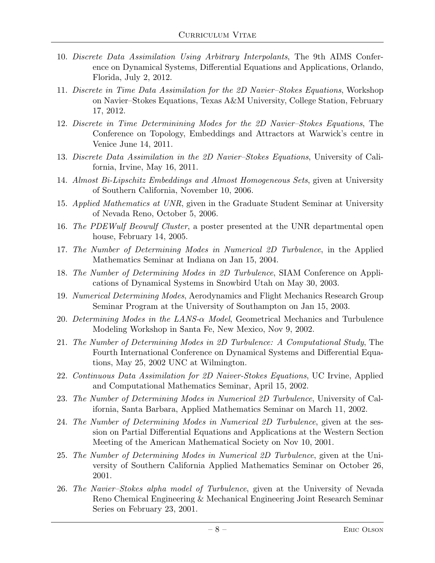- 10. Discrete Data Assimilation Using Arbitrary Interpolants, The 9th AIMS Conference on Dynamical Systems, Differential Equations and Applications, Orlando, Florida, July 2, 2012.
- 11. Discrete in Time Data Assimilation for the 2D Navier–Stokes Equations, Workshop on Navier–Stokes Equations, Texas A&M University, College Station, February 17, 2012.
- 12. Discrete in Time Determinining Modes for the 2D Navier–Stokes Equations, The Conference on Topology, Embeddings and Attractors at Warwick's centre in Venice June 14, 2011.
- 13. Discrete Data Assimilation in the 2D Navier–Stokes Equations, University of California, Irvine, May 16, 2011.
- 14. Almost Bi-Lipschitz Embeddings and Almost Homogeneous Sets, given at University of Southern California, November 10, 2006.
- 15. Applied Mathematics at UNR, given in the Graduate Student Seminar at University of Nevada Reno, October 5, 2006.
- 16. The PDEWulf Beowulf Cluster, a poster presented at the UNR departmental open house, February 14, 2005.
- 17. The Number of Determining Modes in Numerical 2D Turbulence, in the Applied Mathematics Seminar at Indiana on Jan 15, 2004.
- 18. The Number of Determining Modes in 2D Turbulence, SIAM Conference on Applications of Dynamical Systems in Snowbird Utah on May 30, 2003.
- 19. Numerical Determining Modes, Aerodynamics and Flight Mechanics Research Group Seminar Program at the University of Southampton on Jan 15, 2003.
- 20. Determining Modes in the  $LANS-\alpha$  Model, Geometrical Mechanics and Turbulence Modeling Workshop in Santa Fe, New Mexico, Nov 9, 2002.
- 21. The Number of Determining Modes in 2D Turbulence: A Computational Study, The Fourth International Conference on Dynamical Systems and Differential Equations, May 25, 2002 UNC at Wilmington.
- 22. Continuous Data Assimilation for 2D Naiver-Stokes Equations, UC Irvine, Applied and Computational Mathematics Seminar, April 15, 2002.
- 23. The Number of Determining Modes in Numerical 2D Turbulence, University of California, Santa Barbara, Applied Mathematics Seminar on March 11, 2002.
- 24. The Number of Determining Modes in Numerical 2D Turbulence, given at the session on Partial Differential Equations and Applications at the Western Section Meeting of the American Mathematical Society on Nov 10, 2001.
- 25. The Number of Determining Modes in Numerical 2D Turbulence, given at the University of Southern California Applied Mathematics Seminar on October 26, 2001.
- 26. The Navier–Stokes alpha model of Turbulence, given at the University of Nevada Reno Chemical Engineering & Mechanical Engineering Joint Research Seminar Series on February 23, 2001.